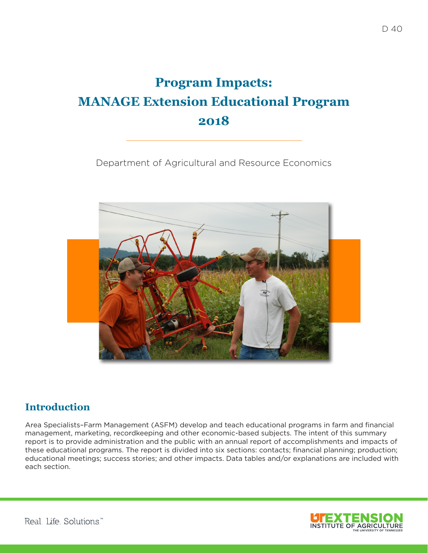# **Program Impacts: MANAGE Extension Educational Program 2018**

Department of Agricultural and Resource Economics



### **Introduction**

Area Specialists–Farm Management (ASFM) develop and teach educational programs in farm and financial management, marketing, recordkeeping and other economic-based subjects. The intent of this summary report is to provide administration and the public with an annual report of accomplishments and impacts of these educational programs. The report is divided into six sections: contacts; financial planning; production; educational meetings; success stories; and other impacts. Data tables and/or explanations are included with each section.

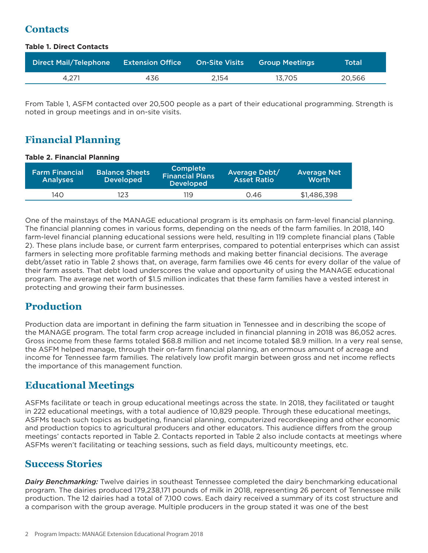## **Contacts**

#### **Table 1. Direct Contacts**

| Direct Mail/Telephone | <b>Extension Office</b> | <b>On-Site Visits</b> | <b>Group Meetings</b> | Total  |
|-----------------------|-------------------------|-----------------------|-----------------------|--------|
| 4.271                 | 436                     | 2.154                 | 13.705                | 20,566 |

From Table 1, ASFM contacted over 20,500 people as a part of their educational programming. Strength is noted in group meetings and in on-site visits.

## **Financial Planning**

#### **Table 2. Financial Planning**

| <b>Farm Financial</b><br><b>Analyses</b> | <b>Balance Sheets</b><br><b>Developed</b> | <b>Complete</b><br><b>Financial Plans</b><br><b>Developed</b> | Average Debt/<br><b>Asset Ratio</b> | <b>Average Net</b><br>Worth |
|------------------------------------------|-------------------------------------------|---------------------------------------------------------------|-------------------------------------|-----------------------------|
| 140                                      | 123                                       | 119                                                           | 0.46                                | \$1,486,398                 |

One of the mainstays of the MANAGE educational program is its emphasis on farm-level financial planning. The financial planning comes in various forms, depending on the needs of the farm families. In 2018, 140 farm-level financial planning educational sessions were held, resulting in 119 complete financial plans (Table 2). These plans include base, or current farm enterprises, compared to potential enterprises which can assist farmers in selecting more profitable farming methods and making better financial decisions. The average debt/asset ratio in Table 2 shows that, on average, farm families owe 46 cents for every dollar of the value of their farm assets. That debt load underscores the value and opportunity of using the MANAGE educational program. The average net worth of \$1.5 million indicates that these farm families have a vested interest in protecting and growing their farm businesses.

### **Production**

Production data are important in defining the farm situation in Tennessee and in describing the scope of the MANAGE program. The total farm crop acreage included in financial planning in 2018 was 86,052 acres. Gross income from these farms totaled \$68.8 million and net income totaled \$8.9 million. In a very real sense, the ASFM helped manage, through their on-farm financial planning, an enormous amount of acreage and income for Tennessee farm families. The relatively low profit margin between gross and net income reflects the importance of this management function.

### **Educational Meetings**

ASFMs facilitate or teach in group educational meetings across the state. In 2018, they facilitated or taught in 222 educational meetings, with a total audience of 10,829 people. Through these educational meetings, ASFMs teach such topics as budgeting, financial planning, computerized recordkeeping and other economic and production topics to agricultural producers and other educators. This audience differs from the group meetings' contacts reported in Table 2. Contacts reported in Table 2 also include contacts at meetings where ASFMs weren't facilitating or teaching sessions, such as field days, multicounty meetings, etc.

#### **Success Stories**

*Dairy Benchmarking:* Twelve dairies in southeast Tennessee completed the dairy benchmarking educational program. The dairies produced 179,238,171 pounds of milk in 2018, representing 26 percent of Tennessee milk production. The 12 dairies had a total of 7,100 cows. Each dairy received a summary of its cost structure and a comparison with the group average. Multiple producers in the group stated it was one of the best